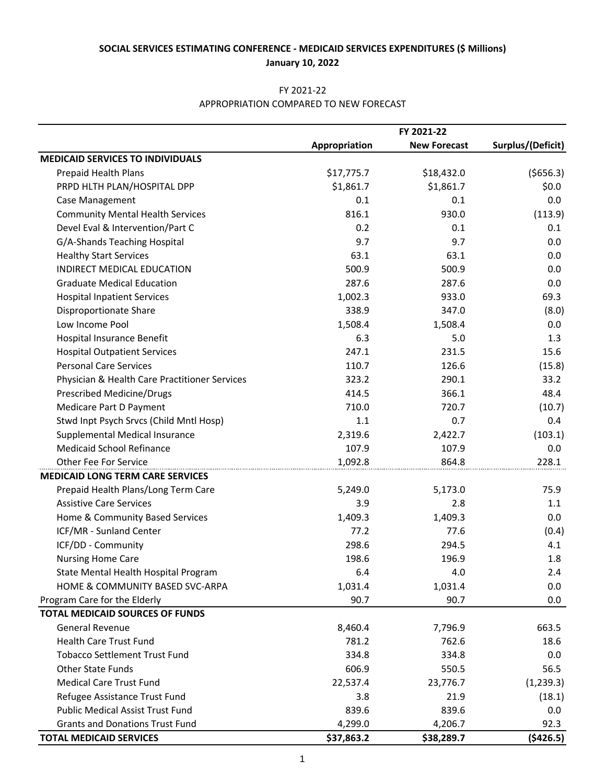### FY 2021-22 APPROPRIATION COMPARED TO NEW FORECAST

|                                               | FY 2021-22    |                     |                   |
|-----------------------------------------------|---------------|---------------------|-------------------|
|                                               | Appropriation | <b>New Forecast</b> | Surplus/(Deficit) |
| <b>MEDICAID SERVICES TO INDIVIDUALS</b>       |               |                     |                   |
| Prepaid Health Plans                          | \$17,775.7    | \$18,432.0          | (5656.3)          |
| PRPD HLTH PLAN/HOSPITAL DPP                   | \$1,861.7     | \$1,861.7           | \$0.0\$           |
| Case Management                               | 0.1           | 0.1                 | 0.0               |
| <b>Community Mental Health Services</b>       | 816.1         | 930.0               | (113.9)           |
| Devel Eval & Intervention/Part C              | 0.2           | 0.1                 | 0.1               |
| G/A-Shands Teaching Hospital                  | 9.7           | 9.7                 | 0.0               |
| <b>Healthy Start Services</b>                 | 63.1          | 63.1                | 0.0               |
| INDIRECT MEDICAL EDUCATION                    | 500.9         | 500.9               | 0.0               |
| <b>Graduate Medical Education</b>             | 287.6         | 287.6               | 0.0               |
| <b>Hospital Inpatient Services</b>            | 1,002.3       | 933.0               | 69.3              |
| Disproportionate Share                        | 338.9         | 347.0               | (8.0)             |
| Low Income Pool                               | 1,508.4       | 1,508.4             | 0.0               |
| Hospital Insurance Benefit                    | 6.3           | 5.0                 | 1.3               |
| <b>Hospital Outpatient Services</b>           | 247.1         | 231.5               | 15.6              |
| <b>Personal Care Services</b>                 | 110.7         | 126.6               | (15.8)            |
| Physician & Health Care Practitioner Services | 323.2         | 290.1               | 33.2              |
| Prescribed Medicine/Drugs                     | 414.5         | 366.1               | 48.4              |
| Medicare Part D Payment                       | 710.0         | 720.7               | (10.7)            |
| Stwd Inpt Psych Srvcs (Child Mntl Hosp)       | 1.1           | 0.7                 | 0.4               |
| Supplemental Medical Insurance                | 2,319.6       | 2,422.7             | (103.1)           |
| <b>Medicaid School Refinance</b>              | 107.9         | 107.9               | 0.0               |
| <b>Other Fee For Service</b>                  | 1,092.8       | 864.8               | 228.1             |
| <b>MEDICAID LONG TERM CARE SERVICES</b>       |               |                     |                   |
| Prepaid Health Plans/Long Term Care           | 5,249.0       | 5,173.0             | 75.9              |
| <b>Assistive Care Services</b>                | 3.9           | 2.8                 | 1.1               |
| Home & Community Based Services               | 1,409.3       | 1,409.3             | 0.0               |
| ICF/MR - Sunland Center                       | 77.2          | 77.6                | (0.4)             |
| ICF/DD - Community                            | 298.6         | 294.5               | 4.1               |
| <b>Nursing Home Care</b>                      | 198.6         | 196.9               | 1.8               |
| State Mental Health Hospital Program          | 6.4           | 4.0                 | 2.4               |
| HOME & COMMUNITY BASED SVC-ARPA               | 1,031.4       | 1,031.4             | 0.0               |
| Program Care for the Elderly                  | 90.7          | 90.7                | 0.0               |
| <b>TOTAL MEDICAID SOURCES OF FUNDS</b>        |               |                     |                   |
| <b>General Revenue</b>                        | 8,460.4       | 7,796.9             | 663.5             |
| <b>Health Care Trust Fund</b>                 | 781.2         | 762.6               | 18.6              |
| <b>Tobacco Settlement Trust Fund</b>          | 334.8         | 334.8               | 0.0               |
| <b>Other State Funds</b>                      | 606.9         | 550.5               | 56.5              |
| <b>Medical Care Trust Fund</b>                | 22,537.4      | 23,776.7            | (1, 239.3)        |
| Refugee Assistance Trust Fund                 | 3.8           | 21.9                | (18.1)            |
| <b>Public Medical Assist Trust Fund</b>       | 839.6         | 839.6               | 0.0               |
| <b>Grants and Donations Trust Fund</b>        | 4,299.0       | 4,206.7             | 92.3              |
| <b>TOTAL MEDICAID SERVICES</b>                | \$37,863.2    | \$38,289.7          | ( \$426.5)        |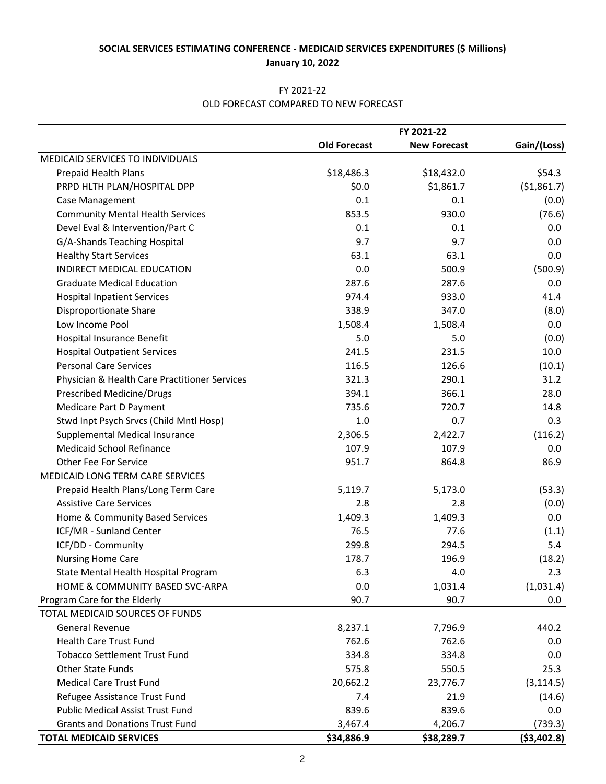### FY 2021-22 OLD FORECAST COMPARED TO NEW FORECAST

|                                               | FY 2021-22          |                     |              |
|-----------------------------------------------|---------------------|---------------------|--------------|
|                                               | <b>Old Forecast</b> | <b>New Forecast</b> | Gain/(Loss)  |
| MEDICAID SERVICES TO INDIVIDUALS              |                     |                     |              |
| Prepaid Health Plans                          | \$18,486.3          | \$18,432.0          | \$54.3       |
| PRPD HLTH PLAN/HOSPITAL DPP                   | \$0.0               | \$1,861.7           | (51,861.7)   |
| Case Management                               | 0.1                 | 0.1                 | (0.0)        |
| <b>Community Mental Health Services</b>       | 853.5               | 930.0               | (76.6)       |
| Devel Eval & Intervention/Part C              | 0.1                 | 0.1                 | 0.0          |
| G/A-Shands Teaching Hospital                  | 9.7                 | 9.7                 | 0.0          |
| <b>Healthy Start Services</b>                 | 63.1                | 63.1                | 0.0          |
| INDIRECT MEDICAL EDUCATION                    | 0.0                 | 500.9               | (500.9)      |
| <b>Graduate Medical Education</b>             | 287.6               | 287.6               | 0.0          |
| <b>Hospital Inpatient Services</b>            | 974.4               | 933.0               | 41.4         |
| Disproportionate Share                        | 338.9               | 347.0               | (8.0)        |
| Low Income Pool                               | 1,508.4             | 1,508.4             | 0.0          |
| Hospital Insurance Benefit                    | 5.0                 | 5.0                 | (0.0)        |
| <b>Hospital Outpatient Services</b>           | 241.5               | 231.5               | 10.0         |
| <b>Personal Care Services</b>                 | 116.5               | 126.6               | (10.1)       |
| Physician & Health Care Practitioner Services | 321.3               | 290.1               | 31.2         |
| <b>Prescribed Medicine/Drugs</b>              | 394.1               | 366.1               | 28.0         |
| Medicare Part D Payment                       | 735.6               | 720.7               | 14.8         |
| Stwd Inpt Psych Srvcs (Child Mntl Hosp)       | 1.0                 | 0.7                 | 0.3          |
| Supplemental Medical Insurance                | 2,306.5             | 2,422.7             | (116.2)      |
| <b>Medicaid School Refinance</b>              | 107.9               | 107.9               | 0.0          |
| <b>Other Fee For Service</b>                  | 951.7               | 864.8               | 86.9         |
| MEDICAID LONG TERM CARE SERVICES              |                     |                     |              |
| Prepaid Health Plans/Long Term Care           | 5,119.7             | 5,173.0             | (53.3)       |
| <b>Assistive Care Services</b>                | 2.8                 | 2.8                 | (0.0)        |
| Home & Community Based Services               | 1,409.3             | 1,409.3             | 0.0          |
| ICF/MR - Sunland Center                       | 76.5                | 77.6                | (1.1)        |
| ICF/DD - Community                            | 299.8               | 294.5               | 5.4          |
| <b>Nursing Home Care</b>                      | 178.7               | 196.9               | (18.2)       |
| State Mental Health Hospital Program          | 6.3                 | 4.0                 | 2.3          |
| HOME & COMMUNITY BASED SVC-ARPA               | 0.0                 | 1,031.4             | (1,031.4)    |
| Program Care for the Elderly                  | 90.7                | 90.7                | $0.0\,$      |
| TOTAL MEDICAID SOURCES OF FUNDS               |                     |                     |              |
| <b>General Revenue</b>                        | 8,237.1             | 7,796.9             | 440.2        |
| <b>Health Care Trust Fund</b>                 | 762.6               | 762.6               | 0.0          |
| <b>Tobacco Settlement Trust Fund</b>          | 334.8               | 334.8               | 0.0          |
| Other State Funds                             | 575.8               | 550.5               | 25.3         |
| <b>Medical Care Trust Fund</b>                | 20,662.2            | 23,776.7            | (3, 114.5)   |
| Refugee Assistance Trust Fund                 | 7.4                 | 21.9                | (14.6)       |
| <b>Public Medical Assist Trust Fund</b>       | 839.6               | 839.6               | 0.0          |
| <b>Grants and Donations Trust Fund</b>        | 3,467.4             | 4,206.7             | (739.3)      |
| <b>TOTAL MEDICAID SERVICES</b>                | \$34,886.9          | \$38,289.7          | ( \$3,402.8) |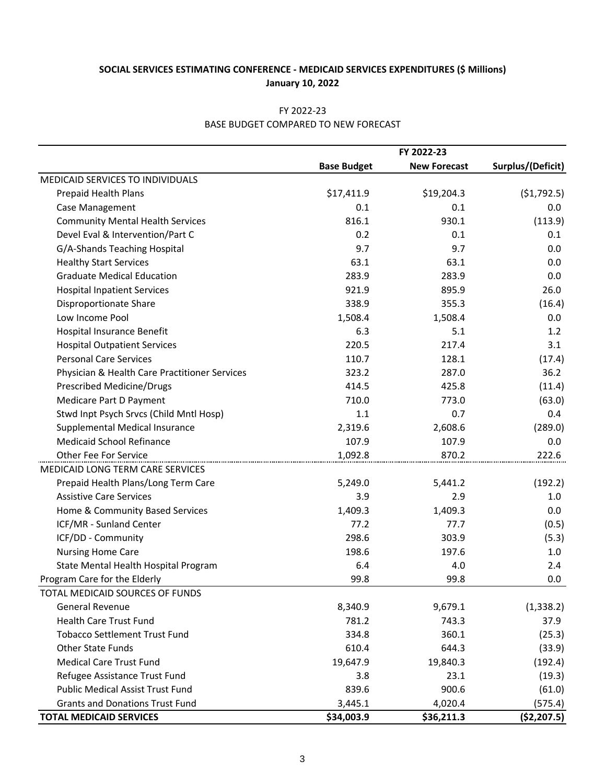|                                               | FY 2022-23         |                     |                   |
|-----------------------------------------------|--------------------|---------------------|-------------------|
|                                               | <b>Base Budget</b> | <b>New Forecast</b> | Surplus/(Deficit) |
| MEDICAID SERVICES TO INDIVIDUALS              |                    |                     |                   |
| Prepaid Health Plans                          | \$17,411.9         | \$19,204.3          | (51, 792.5)       |
| Case Management                               | 0.1                | 0.1                 | 0.0               |
| <b>Community Mental Health Services</b>       | 816.1              | 930.1               | (113.9)           |
| Devel Eval & Intervention/Part C              | 0.2                | 0.1                 | 0.1               |
| G/A-Shands Teaching Hospital                  | 9.7                | 9.7                 | 0.0               |
| <b>Healthy Start Services</b>                 | 63.1               | 63.1                | 0.0               |
| <b>Graduate Medical Education</b>             | 283.9              | 283.9               | 0.0               |
| <b>Hospital Inpatient Services</b>            | 921.9              | 895.9               | 26.0              |
| Disproportionate Share                        | 338.9              | 355.3               | (16.4)            |
| Low Income Pool                               | 1,508.4            | 1,508.4             | 0.0               |
| Hospital Insurance Benefit                    | 6.3                | 5.1                 | 1.2               |
| <b>Hospital Outpatient Services</b>           | 220.5              | 217.4               | 3.1               |
| <b>Personal Care Services</b>                 | 110.7              | 128.1               | (17.4)            |
| Physician & Health Care Practitioner Services | 323.2              | 287.0               | 36.2              |
| Prescribed Medicine/Drugs                     | 414.5              | 425.8               | (11.4)            |
| Medicare Part D Payment                       | 710.0              | 773.0               | (63.0)            |
| Stwd Inpt Psych Srvcs (Child Mntl Hosp)       | 1.1                | 0.7                 | 0.4               |
| Supplemental Medical Insurance                | 2,319.6            | 2,608.6             | (289.0)           |
| <b>Medicaid School Refinance</b>              | 107.9              | 107.9               | 0.0               |
| Other Fee For Service                         | 1,092.8            | 870.2               | 222.6             |
| MEDICAID LONG TERM CARE SERVICES              |                    |                     |                   |
| Prepaid Health Plans/Long Term Care           | 5,249.0            | 5,441.2             | (192.2)           |
| <b>Assistive Care Services</b>                | 3.9                | 2.9                 | 1.0               |
| Home & Community Based Services               | 1,409.3            | 1,409.3             | 0.0               |
| ICF/MR - Sunland Center                       | 77.2               | 77.7                | (0.5)             |
| ICF/DD - Community                            | 298.6              | 303.9               | (5.3)             |
| <b>Nursing Home Care</b>                      | 198.6              | 197.6               | 1.0               |
| State Mental Health Hospital Program          | 6.4                | 4.0                 | 2.4               |
| Program Care for the Elderly                  | 99.8               | 99.8                | 0.0               |
| TOTAL MEDICAID SOURCES OF FUNDS               |                    |                     |                   |
| <b>General Revenue</b>                        | 8,340.9            | 9,679.1             | (1, 338.2)        |
| <b>Health Care Trust Fund</b>                 | 781.2              | 743.3               | 37.9              |
| <b>Tobacco Settlement Trust Fund</b>          | 334.8              | 360.1               | (25.3)            |
| Other State Funds                             | 610.4              | 644.3               | (33.9)            |
| <b>Medical Care Trust Fund</b>                | 19,647.9           | 19,840.3            | (192.4)           |
| Refugee Assistance Trust Fund                 | 3.8                | 23.1                | (19.3)            |
| <b>Public Medical Assist Trust Fund</b>       | 839.6              | 900.6               | (61.0)            |
| <b>Grants and Donations Trust Fund</b>        | 3,445.1            | 4,020.4             | (575.4)           |
| <b>TOTAL MEDICAID SERVICES</b>                | \$34,003.9         | \$36,211.3          | (52, 207.5)       |

# FY 2022-23 BASE BUDGET COMPARED TO NEW FORECAST